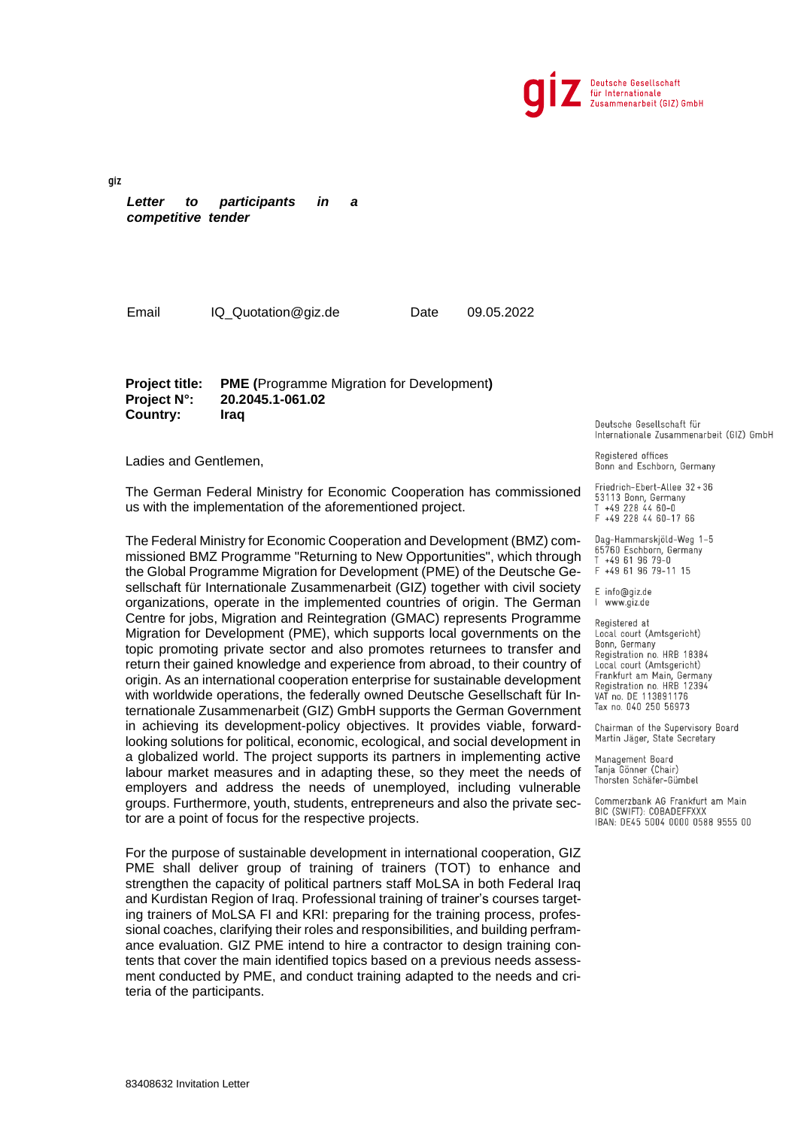

gíz *Letter to participants in a competitive tender*

Email IQ\_Quotation@giz.de Date 09.05.2022

**Project title: PME (**Programme Migration for Development**) Project N°: 20.2045.1-061.02 Country: Iraq**

Ladies and Gentlemen,

The German Federal Ministry for Economic Cooperation has commissioned us with the implementation of the aforementioned project.

The Federal Ministry for Economic Cooperation and Development (BMZ) commissioned BMZ Programme "Returning to New Opportunities", which through the Global Programme Migration for Development (PME) of the Deutsche Gesellschaft für Internationale Zusammenarbeit (GIZ) together with civil society organizations, operate in the implemented countries of origin. The German Centre for jobs, Migration and Reintegration (GMAC) represents Programme Migration for Development (PME), which supports local governments on the topic promoting private sector and also promotes returnees to transfer and return their gained knowledge and experience from abroad, to their country of origin. As an international cooperation enterprise for sustainable development with worldwide operations, the federally owned Deutsche Gesellschaft für Internationale Zusammenarbeit (GIZ) GmbH supports the German Government in achieving its development-policy objectives. It provides viable, forwardlooking solutions for political, economic, ecological, and social development in a globalized world. The project supports its partners in implementing active labour market measures and in adapting these, so they meet the needs of employers and address the needs of unemployed, including vulnerable groups. Furthermore, youth, students, entrepreneurs and also the private sector are a point of focus for the respective projects.

For the purpose of sustainable development in international cooperation, GIZ PME shall deliver group of training of trainers (TOT) to enhance and strengthen the capacity of political partners staff MoLSA in both Federal Iraq and Kurdistan Region of Iraq. Professional training of trainer's courses targeting trainers of MoLSA FI and KRI: preparing for the training process, professional coaches, clarifying their roles and responsibilities, and building perframance evaluation. GIZ PME intend to hire a contractor to design training contents that cover the main identified topics based on a previous needs assessment conducted by PME, and conduct training adapted to the needs and criteria of the participants.

Deutsche Gesellschaft für Internationale Zusammenarbeit (GIZ) GmbH

Registered offices Bonn and Eschborn, Germany

Friedrich-Ebert-Allee 32+36 53113 Bonn, Germany<br>T +49 228 44 60-0 F +49 228 44 60-17 66

Dag-Hammarskjöld-Weg 1-5 65760 Eschborn, Germany<br>T +49 61 96 79-0 Τ F +49 61 96 79-11 15

E info@giz.de I www.giz.de

Registered at Local court (Amtsgericht) Bonn, Germany Registration no. HRB 18384 Local court (Amtsgericht) Frankfurt am Main, Germany<br>Registration no. HRB 12394<br>VAT no. DE 113891176 Tax no. 040 250 56973

Chairman of the Supervisory Board Martin Jäger, State Secretary

Management Board Tanja Gönner (Chair) Thorsten Schäfer-Gümbel

Commerzbank AG Frankfurt am Main BIC (SWIFT): COBADEFFXXX IBAN: DE45 5004 0000 0588 9555 00